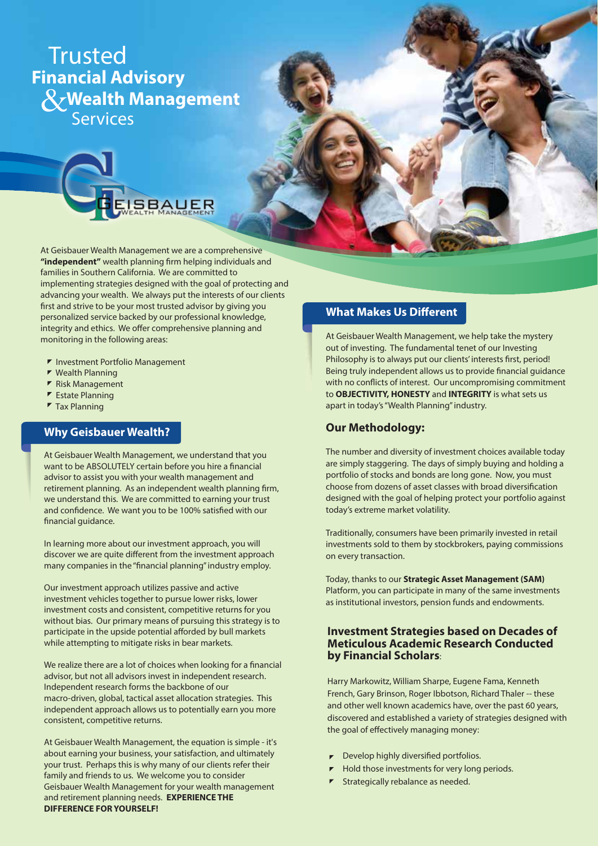# Trusted *<u>R</u>* Wealth Management **Financial Advisory**  Services



At Geisbauer Wealth Management we are a comprehensive "independent" wealth planning firm helping individuals and families in Southern California. We are committed to implementing strategies designed with the goal of protecting and advancing your wealth. We always put the interests of our clients first and strive to be your most trusted advisor by giving you personalized service backed by our professional knowledge, integrity and ethics. We offer comprehensive planning and monitoring in the following areas:

- **F** Investment Portfolio Management
- $\blacktriangleright$  Wealth Planning
- ▼ Risk Management
- $\blacktriangleright$  Estate Planning
- $\blacktriangleright$  Tax Planning

## **Why Geisbauer Wealth?**

At Geisbauer Wealth Management, we understand that you want to be ABSOLUTELY certain before you hire a financial advisor to assist you with your wealth management and retirement planning. As an independent wealth planning firm, we understand this. We are committed to earning your trust and confidence. We want you to be 100% satisfied with our financial guidance.

In learning more about our investment approach, you will discover we are quite different from the investment approach many companies in the "financial planning" industry employ.

Our investment approach utilizes passive and active investment vehicles together to pursue lower risks, lower investment costs and consistent, competitive returns for you without bias. Our primary means of pursuing this strategy is to participate in the upside potential afforded by bull markets while attempting to mitigate risks in bear markets.

We realize there are a lot of choices when looking for a financial advisor, but not all advisors invest in independent research. Independent research forms the backbone of our macro-driven, global, tactical asset allocation strategies. This independent approach allows us to potentially earn you more consistent, competitive returns.

At Geisbauer Wealth Management, the equation is simple - it's about earning your business, your satisfaction, and ultimately your trust. Perhaps this is why many of our clients refer their family and friends to us. We welcome you to consider Geisbauer Wealth Management for your wealth management and retirement planning needs. **EXPERIENCE THE DIFFERENCE FOR YOURSELF!**

# **What Makes Us Different**

At Geisbauer Wealth Management, we help take the mystery out of investing. The fundamental tenet of our Investing Philosophy is to always put our clients' interests first, period! Being truly independent allows us to provide financial guidance with no conflicts of interest. Our uncompromising commitment to **OBJECTIVITY, HONESTY** and **INTEGRITY** is what sets us apart in today's "Wealth Planning" industry.

## **Our Methodology:**

The number and diversity of investment choices available today are simply staggering. The days of simply buying and holding a portfolio of stocks and bonds are long gone. Now, you must choose from dozens of asset classes with broad diversification designed with the goal of helping protect your portfolio against today's extreme market volatility.

Traditionally, consumers have been primarily invested in retail investments sold to them by stockbrokers, paying commissions on every transaction.

Today, thanks to our **Strategic Asset Management (SAM)**  Platform, you can participate in many of the same investments as institutional investors, pension funds and endowments.

## **Investment Strategies based on Decades of Meticulous Academic Research Conducted by Financial Scholars**:

Harry Markowitz, William Sharpe, Eugene Fama, Kenneth French, Gary Brinson, Roger Ibbotson, Richard Thaler -- these and other well known academics have, over the past 60 years, discovered and established a variety of strategies designed with the goal of effectively managing money:

- $\blacktriangleright$  Develop highly diversified portfolios.
- Hold those investments for very long periods.
- **F** Strategically rebalance as needed.